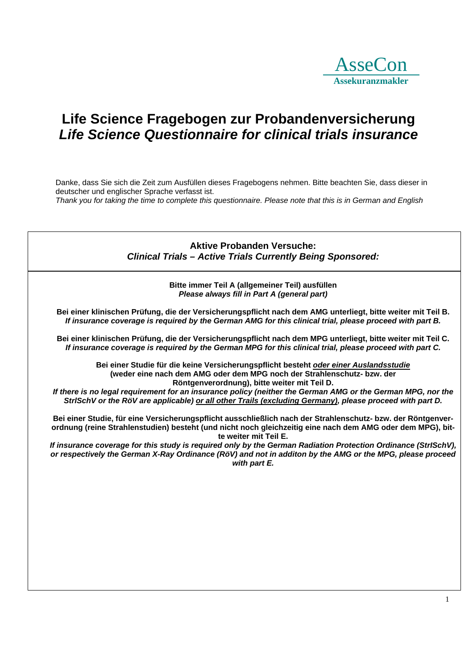

## **Life Science Fragebogen zur Probandenversicherung**  *Life Science Questionnaire for clinical trials insurance*

Danke, dass Sie sich die Zeit zum Ausfüllen dieses Fragebogens nehmen. Bitte beachten Sie, dass dieser in deutscher und englischer Sprache verfasst ist. *Thank you for taking the time to complete this questionnaire. Please note that this is in German and English*

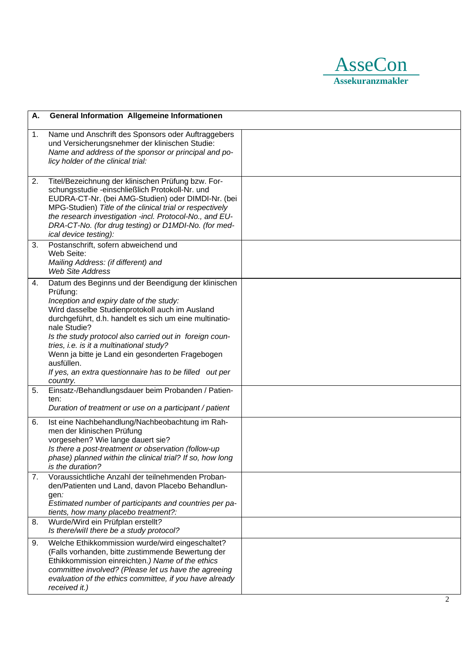

| А. | <b>General Information Allgemeine Informationen</b>                                                                                                                                                                                                                                                                                                                                                                                                                                    |  |
|----|----------------------------------------------------------------------------------------------------------------------------------------------------------------------------------------------------------------------------------------------------------------------------------------------------------------------------------------------------------------------------------------------------------------------------------------------------------------------------------------|--|
| 1. | Name und Anschrift des Sponsors oder Auftraggebers<br>und Versicherungsnehmer der klinischen Studie:<br>Name and address of the sponsor or principal and po-<br>licy holder of the clinical trial:                                                                                                                                                                                                                                                                                     |  |
| 2. | Titel/Bezeichnung der klinischen Prüfung bzw. For-<br>schungsstudie -einschließlich Protokoll-Nr. und<br>EUDRA-CT-Nr. (bei AMG-Studien) oder DIMDI-Nr. (bei<br>MPG-Studien) Title of the clinical trial or respectively<br>the research investigation -incl. Protocol-No., and EU-<br>DRA-CT-No. (for drug testing) or D1MDI-No. (for med-<br>ical device testing):                                                                                                                    |  |
| 3. | Postanschrift, sofern abweichend und<br>Web Seite:<br>Mailing Address: (if different) and<br><b>Web Site Address</b>                                                                                                                                                                                                                                                                                                                                                                   |  |
| 4. | Datum des Beginns und der Beendigung der klinischen<br>Prüfung:<br>Inception and expiry date of the study:<br>Wird dasselbe Studienprotokoll auch im Ausland<br>durchgeführt, d.h. handelt es sich um eine multinatio-<br>nale Studie?<br>Is the study protocol also carried out in foreign coun-<br>tries, i.e. is it a multinational study?<br>Wenn ja bitte je Land ein gesonderten Fragebogen<br>ausfüllen.<br>If yes, an extra questionnaire has to be filled out per<br>country. |  |
| 5. | Einsatz-/Behandlungsdauer beim Probanden / Patien-<br>ten:<br>Duration of treatment or use on a participant / patient                                                                                                                                                                                                                                                                                                                                                                  |  |
| 6. | Ist eine Nachbehandlung/Nachbeobachtung im Rah-<br>men der klinischen Prüfung<br>vorgesehen? Wie lange dauert sie?<br>Is there a post-treatment or observation (follow-up<br>phase) planned within the clinical trial? If so, how long<br>is the duration?                                                                                                                                                                                                                             |  |
| 7. | Voraussichtliche Anzahl der teilnehmenden Proban-<br>den/Patienten und Land, davon Placebo Behandlun-<br>gen:<br>Estimated number of participants and countries per pa-<br>tients, how many placebo treatment?:                                                                                                                                                                                                                                                                        |  |
| 8. | Wurde/Wird ein Prüfplan erstellt?<br>Is there/will there be a study protocol?                                                                                                                                                                                                                                                                                                                                                                                                          |  |
| 9. | Welche Ethikkommission wurde/wird eingeschaltet?<br>(Falls vorhanden, bitte zustimmende Bewertung der<br>Ethikkommission einreichten.) Name of the ethics<br>committee involved? (Please let us have the agreeing<br>evaluation of the ethics committee, if you have already<br>received it.)                                                                                                                                                                                          |  |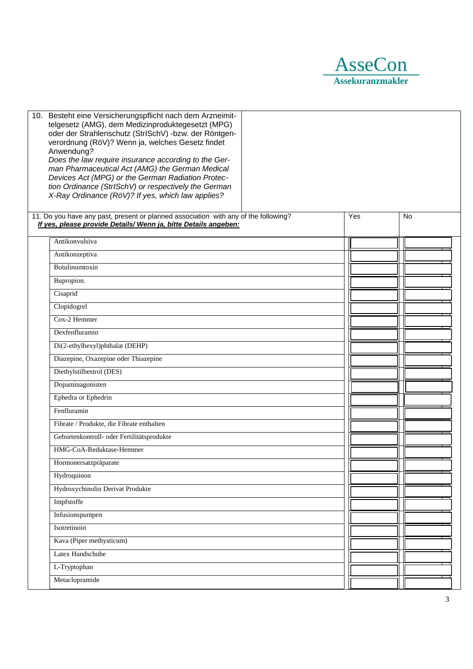

| 10. Besteht eine Versicherungspflicht nach dem Arzneimit-<br>telgesetz (AMG), dem Medizinproduktegesetzt (MPG)<br>oder der Strahlenschutz (StrISchV) -bzw. der Röntgen-<br>verordnung (RöV)? Wenn ja, welches Gesetz findet<br>Anwendung?<br>Does the law require insurance according to the Ger-<br>man Pharmaceutical Act (AMG) the German Medical<br>Devices Act (MPG) or the German Radiation Protec-<br>tion Ordinance (StrISchV) or respectively the German<br>X-Ray Ordinance (RöV)? If yes, which law applies? |     |           |
|------------------------------------------------------------------------------------------------------------------------------------------------------------------------------------------------------------------------------------------------------------------------------------------------------------------------------------------------------------------------------------------------------------------------------------------------------------------------------------------------------------------------|-----|-----------|
| 11. Do you have any past, present or planned association with any of the following?<br>If yes, please provide Details/ Wenn ja, bitte Details angeben:                                                                                                                                                                                                                                                                                                                                                                 | Yes | <b>No</b> |
| Antikonvulsiva                                                                                                                                                                                                                                                                                                                                                                                                                                                                                                         |     |           |
| Antikonzeptiva                                                                                                                                                                                                                                                                                                                                                                                                                                                                                                         |     |           |
| Botulinumtoxin                                                                                                                                                                                                                                                                                                                                                                                                                                                                                                         |     |           |
| Bupropion.                                                                                                                                                                                                                                                                                                                                                                                                                                                                                                             |     |           |
| Cisaprid                                                                                                                                                                                                                                                                                                                                                                                                                                                                                                               |     |           |
| Clopidogrel                                                                                                                                                                                                                                                                                                                                                                                                                                                                                                            |     |           |
| Cox-2 Hemmer                                                                                                                                                                                                                                                                                                                                                                                                                                                                                                           |     |           |
| Dexfenfluramin                                                                                                                                                                                                                                                                                                                                                                                                                                                                                                         |     |           |
| Di(2-ethylhexyl)phthalat (DEHP)                                                                                                                                                                                                                                                                                                                                                                                                                                                                                        |     |           |
| Diazepine, Oxazepine oder Thiazepine                                                                                                                                                                                                                                                                                                                                                                                                                                                                                   |     |           |
| Diethylstilbestrol (DES)                                                                                                                                                                                                                                                                                                                                                                                                                                                                                               |     |           |
| Dopaminagonisten                                                                                                                                                                                                                                                                                                                                                                                                                                                                                                       |     |           |
| Ephedra or Ephedrin                                                                                                                                                                                                                                                                                                                                                                                                                                                                                                    |     |           |
| Fenfluramin                                                                                                                                                                                                                                                                                                                                                                                                                                                                                                            |     |           |
| Fibrate / Produkte, die Fibrate enthalten                                                                                                                                                                                                                                                                                                                                                                                                                                                                              |     |           |
| Geburtenkontroll- oder Fertilitätsprodukte                                                                                                                                                                                                                                                                                                                                                                                                                                                                             |     |           |
| HMG-CoA-Reduktase-Hemmer                                                                                                                                                                                                                                                                                                                                                                                                                                                                                               |     |           |
| Hormonersatzpräparate                                                                                                                                                                                                                                                                                                                                                                                                                                                                                                  |     |           |
| Hydroquinon                                                                                                                                                                                                                                                                                                                                                                                                                                                                                                            |     |           |
| Hydroxychinolin Derivat Produkte                                                                                                                                                                                                                                                                                                                                                                                                                                                                                       |     |           |
| Impfstoffe                                                                                                                                                                                                                                                                                                                                                                                                                                                                                                             |     |           |
| Infusionspumpen                                                                                                                                                                                                                                                                                                                                                                                                                                                                                                        |     |           |
| Isotretinoin                                                                                                                                                                                                                                                                                                                                                                                                                                                                                                           |     |           |
| Kava (Piper methysticum)                                                                                                                                                                                                                                                                                                                                                                                                                                                                                               |     |           |
| Latex Handschuhe                                                                                                                                                                                                                                                                                                                                                                                                                                                                                                       |     |           |
| L-Tryptophan                                                                                                                                                                                                                                                                                                                                                                                                                                                                                                           |     |           |
| Metaclopramide                                                                                                                                                                                                                                                                                                                                                                                                                                                                                                         |     |           |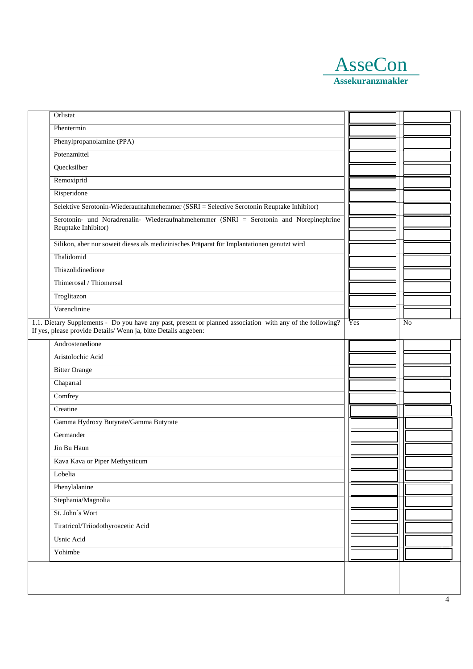

| Orlistat                                                                                                                                                                     |     |                |
|------------------------------------------------------------------------------------------------------------------------------------------------------------------------------|-----|----------------|
| Phentermin                                                                                                                                                                   |     |                |
| Phenylpropanolamine (PPA)                                                                                                                                                    |     |                |
| Potenzmittel                                                                                                                                                                 |     |                |
| Quecksilber                                                                                                                                                                  |     |                |
| Remoxiprid                                                                                                                                                                   |     |                |
| Risperidone                                                                                                                                                                  |     |                |
| Selektive Serotonin-Wiederaufnahmehemmer (SSRI = Selective Serotonin Reuptake Inhibitor)                                                                                     |     |                |
| Serotonin- und Noradrenalin- Wiederaufnahmehemmer (SNRI = Serotonin and Norepinephrine<br>Reuptake Inhibitor)                                                                |     |                |
| Silikon, aber nur soweit dieses als medizinisches Präparat für Implantationen genutzt wird                                                                                   |     |                |
| Thalidomid                                                                                                                                                                   |     |                |
| Thiazolidinedione                                                                                                                                                            |     |                |
| Thimerosal / Thiomersal                                                                                                                                                      |     |                |
| Troglitazon                                                                                                                                                                  |     |                |
| Varenclinine                                                                                                                                                                 |     |                |
| 1.1. Dietary Supplements - Do you have any past, present or planned association with any of the following?<br>If yes, please provide Details/Wenn ja, bitte Details angeben: | Yes | N <sub>o</sub> |
| Androstenedione                                                                                                                                                              |     |                |
| Aristolochic Acid                                                                                                                                                            |     |                |
| <b>Bitter Orange</b>                                                                                                                                                         |     |                |
| Chaparral                                                                                                                                                                    |     |                |
| Comfrey                                                                                                                                                                      |     |                |
| Creatine                                                                                                                                                                     |     |                |
| Gamma Hydroxy Butyrate/Gamma Butyrate                                                                                                                                        |     |                |
| Germander                                                                                                                                                                    |     |                |
| Jin Bu Haun                                                                                                                                                                  |     |                |
| Kava Kava or Piper Methysticum                                                                                                                                               |     |                |
| Lobelia                                                                                                                                                                      |     |                |
| Phenylalanine                                                                                                                                                                |     |                |
| Stephania/Magnolia                                                                                                                                                           |     |                |
| St. John's Wort                                                                                                                                                              |     |                |
| Tiratricol/Triiodothyroacetic Acid                                                                                                                                           |     |                |
| <b>Usnic Acid</b>                                                                                                                                                            |     |                |
| Yohimbe                                                                                                                                                                      |     |                |
|                                                                                                                                                                              |     |                |
|                                                                                                                                                                              |     |                |
|                                                                                                                                                                              |     |                |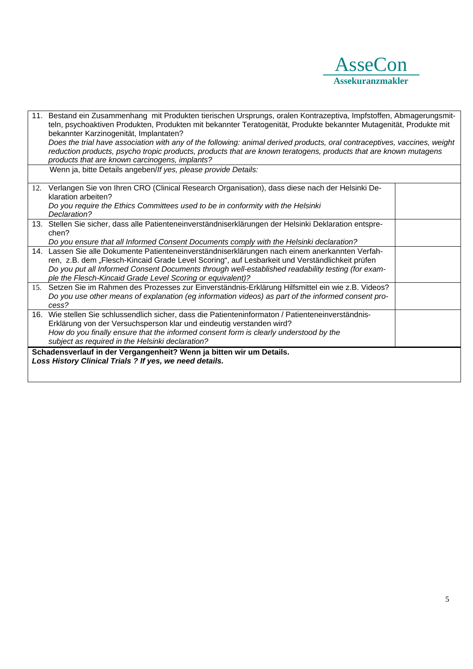

|                                                                                                                                 | 11. Bestand ein Zusammenhang mit Produkten tierischen Ursprungs, oralen Kontrazeptiva, Impfstoffen, Abmagerungsmit-<br>teln, psychoaktiven Produkten, Produkten mit bekannter Teratogenität, Produkte bekannter Mutagenität, Produkte mit<br>bekannter Karzinogenität, Implantaten?<br>Does the trial have association with any of the following: animal derived products, oral contraceptives, vaccines, weight |  |
|---------------------------------------------------------------------------------------------------------------------------------|------------------------------------------------------------------------------------------------------------------------------------------------------------------------------------------------------------------------------------------------------------------------------------------------------------------------------------------------------------------------------------------------------------------|--|
|                                                                                                                                 | reduction products, psycho tropic products, products that are known teratogens, products that are known mutagens<br>products that are known carcinogens, implants?                                                                                                                                                                                                                                               |  |
|                                                                                                                                 | Wenn ja, bitte Details angeben/If yes, please provide Details:                                                                                                                                                                                                                                                                                                                                                   |  |
|                                                                                                                                 | 12. Verlangen Sie von Ihren CRO (Clinical Research Organisation), dass diese nach der Helsinki De-<br>klaration arbeiten?                                                                                                                                                                                                                                                                                        |  |
|                                                                                                                                 | Do you require the Ethics Committees used to be in conformity with the Helsinki<br>Declaration?                                                                                                                                                                                                                                                                                                                  |  |
|                                                                                                                                 | 13. Stellen Sie sicher, dass alle Patienteneinverständniserklärungen der Helsinki Deklaration entspre-<br>chen?                                                                                                                                                                                                                                                                                                  |  |
|                                                                                                                                 | Do you ensure that all Informed Consent Documents comply with the Helsinki declaration?                                                                                                                                                                                                                                                                                                                          |  |
|                                                                                                                                 | 14. Lassen Sie alle Dokumente Patienteneinverständniserklärungen nach einem anerkannten Verfah-                                                                                                                                                                                                                                                                                                                  |  |
|                                                                                                                                 | ren, z.B. dem "Flesch-Kincaid Grade Level Scoring", auf Lesbarkeit und Verständlichkeit prüfen                                                                                                                                                                                                                                                                                                                   |  |
|                                                                                                                                 | Do you put all Informed Consent Documents through well-established readability testing (for exam-<br>ple the Flesch-Kincaid Grade Level Scoring or equivalent)?                                                                                                                                                                                                                                                  |  |
|                                                                                                                                 | 15. Setzen Sie im Rahmen des Prozesses zur Einverständnis-Erklärung Hilfsmittel ein wie z.B. Videos?                                                                                                                                                                                                                                                                                                             |  |
|                                                                                                                                 | Do you use other means of explanation (eg information videos) as part of the informed consent pro-<br>cess?                                                                                                                                                                                                                                                                                                      |  |
|                                                                                                                                 | 16. Wie stellen Sie schlussendlich sicher, dass die Patienteninformaton / Patienteneinverständnis-                                                                                                                                                                                                                                                                                                               |  |
|                                                                                                                                 | Erklärung von der Versuchsperson klar und eindeutig verstanden wird?                                                                                                                                                                                                                                                                                                                                             |  |
|                                                                                                                                 | How do you finally ensure that the informed consent form is clearly understood by the<br>subject as required in the Helsinki declaration?                                                                                                                                                                                                                                                                        |  |
|                                                                                                                                 |                                                                                                                                                                                                                                                                                                                                                                                                                  |  |
| Schadensverlauf in der Vergangenheit? Wenn ja bitten wir um Details.<br>Loss History Clinical Trials ? If yes, we need details. |                                                                                                                                                                                                                                                                                                                                                                                                                  |  |
|                                                                                                                                 |                                                                                                                                                                                                                                                                                                                                                                                                                  |  |
|                                                                                                                                 |                                                                                                                                                                                                                                                                                                                                                                                                                  |  |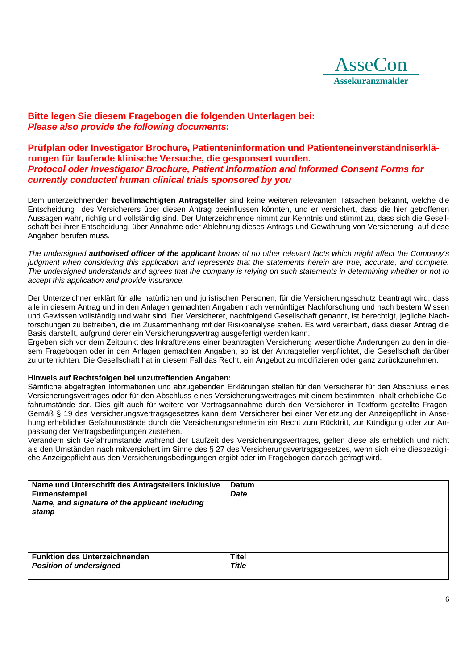

## **Bitte legen Sie diesem Fragebogen die folgenden Unterlagen bei:**  *Please also provide the following documents***:**

## **Prüfplan oder Investigator Brochure, Patienteninformation und Patienteneinverständniserklärungen für laufende klinische Versuche, die gesponsert wurden.**  *Protocol oder Investigator Brochure, Patient Information and Informed Consent Forms for currently conducted human clinical trials sponsored by you*

Dem unterzeichnenden **bevollmächtigten Antragsteller** sind keine weiteren relevanten Tatsachen bekannt, welche die Entscheidung des Versicherers über diesen Antrag beeinflussen könnten, und er versichert, dass die hier getroffenen Aussagen wahr, richtig und vollständig sind. Der Unterzeichnende nimmt zur Kenntnis und stimmt zu, dass sich die Gesellschaft bei ihrer Entscheidung, über Annahme oder Ablehnung dieses Antrags und Gewährung von Versicherung auf diese Angaben berufen muss.

*The undersigned authorised officer of the applicant knows of no other relevant facts which might affect the Company's judgment when considering this application and represents that the statements herein are true, accurate, and complete. The undersigned understands and agrees that the company is relying on such statements in determining whether or not to accept this application and provide insurance.* 

Der Unterzeichner erklärt für alle natürlichen und juristischen Personen, für die Versicherungsschutz beantragt wird, dass alle in diesem Antrag und in den Anlagen gemachten Angaben nach vernünftiger Nachforschung und nach bestem Wissen und Gewissen vollständig und wahr sind. Der Versicherer, nachfolgend Gesellschaft genannt, ist berechtigt, jegliche Nachforschungen zu betreiben, die im Zusammenhang mit der Risikoanalyse stehen. Es wird vereinbart, dass dieser Antrag die Basis darstellt, aufgrund derer ein Versicherungsvertrag ausgefertigt werden kann.

Ergeben sich vor dem Zeitpunkt des Inkrafttretens einer beantragten Versicherung wesentliche Änderungen zu den in diesem Fragebogen oder in den Anlagen gemachten Angaben, so ist der Antragsteller verpflichtet, die Gesellschaft darüber zu unterrichten. Die Gesellschaft hat in diesem Fall das Recht, ein Angebot zu modifizieren oder ganz zurückzunehmen.

## **Hinweis auf Rechtsfolgen bei unzutreffenden Angaben:**

Sämtliche abgefragten Informationen und abzugebenden Erklärungen stellen für den Versicherer für den Abschluss eines Versicherungsvertrages oder für den Abschluss eines Versicherungsvertrages mit einem bestimmten Inhalt erhebliche Gefahrumstände dar. Dies gilt auch für weitere vor Vertragsannahme durch den Versicherer in Textform gestellte Fragen. Gemäß § 19 des Versicherungsvertragsgesetzes kann dem Versicherer bei einer Verletzung der Anzeigepflicht in Ansehung erheblicher Gefahrumstände durch die Versicherungsnehmerin ein Recht zum Rücktritt, zur Kündigung oder zur Anpassung der Vertragsbedingungen zustehen.

Verändern sich Gefahrumstände während der Laufzeit des Versicherungsvertrages, gelten diese als erheblich und nicht als den Umständen nach mitversichert im Sinne des § 27 des Versicherungsvertragsgesetzes, wenn sich eine diesbezügliche Anzeigepflicht aus den Versicherungsbedingungen ergibt oder im Fragebogen danach gefragt wird.

| Name und Unterschrift des Antragstellers inklusive<br><b>Firmenstempel</b><br>Name, and signature of the applicant including<br>stamp | <b>Datum</b><br><b>Date</b> |
|---------------------------------------------------------------------------------------------------------------------------------------|-----------------------------|
|                                                                                                                                       |                             |
| <b>Funktion des Unterzeichnenden</b>                                                                                                  | <b>Titel</b>                |
| <b>Position of undersigned</b>                                                                                                        | <b>Title</b>                |
|                                                                                                                                       |                             |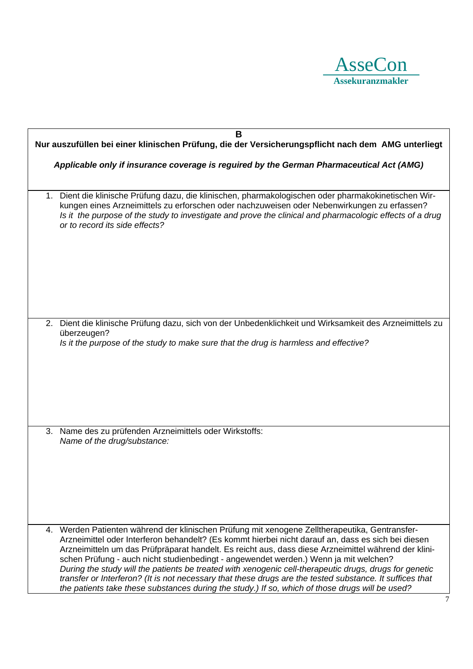

| B                                                                                                                                                                                                                                                                                                                                                                                                                                                                                                                                                                                                                                                                                                                             |  |  |
|-------------------------------------------------------------------------------------------------------------------------------------------------------------------------------------------------------------------------------------------------------------------------------------------------------------------------------------------------------------------------------------------------------------------------------------------------------------------------------------------------------------------------------------------------------------------------------------------------------------------------------------------------------------------------------------------------------------------------------|--|--|
| Nur auszufüllen bei einer klinischen Prüfung, die der Versicherungspflicht nach dem AMG unterliegt                                                                                                                                                                                                                                                                                                                                                                                                                                                                                                                                                                                                                            |  |  |
| Applicable only if insurance coverage is reguired by the German Pharmaceutical Act (AMG)                                                                                                                                                                                                                                                                                                                                                                                                                                                                                                                                                                                                                                      |  |  |
|                                                                                                                                                                                                                                                                                                                                                                                                                                                                                                                                                                                                                                                                                                                               |  |  |
| Dient die klinische Prüfung dazu, die klinischen, pharmakologischen oder pharmakokinetischen Wir-<br>1.<br>kungen eines Arzneimittels zu erforschen oder nachzuweisen oder Nebenwirkungen zu erfassen?<br>Is it the purpose of the study to investigate and prove the clinical and pharmacologic effects of a drug<br>or to record its side effects?                                                                                                                                                                                                                                                                                                                                                                          |  |  |
|                                                                                                                                                                                                                                                                                                                                                                                                                                                                                                                                                                                                                                                                                                                               |  |  |
| Dient die klinische Prüfung dazu, sich von der Unbedenklichkeit und Wirksamkeit des Arzneimittels zu<br>2.<br>überzeugen?<br>Is it the purpose of the study to make sure that the drug is harmless and effective?                                                                                                                                                                                                                                                                                                                                                                                                                                                                                                             |  |  |
|                                                                                                                                                                                                                                                                                                                                                                                                                                                                                                                                                                                                                                                                                                                               |  |  |
| Name des zu prüfenden Arzneimittels oder Wirkstoffs:<br>3.<br>Name of the drug/substance:                                                                                                                                                                                                                                                                                                                                                                                                                                                                                                                                                                                                                                     |  |  |
|                                                                                                                                                                                                                                                                                                                                                                                                                                                                                                                                                                                                                                                                                                                               |  |  |
| 4. Werden Patienten während der klinischen Prüfung mit xenogene Zelltherapeutika, Gentransfer-<br>Arzneimittel oder Interferon behandelt? (Es kommt hierbei nicht darauf an, dass es sich bei diesen<br>Arzneimitteln um das Prüfpräparat handelt. Es reicht aus, dass diese Arzneimittel während der klini-<br>schen Prüfung - auch nicht studienbedingt - angewendet werden.) Wenn ja mit welchen?<br>During the study will the patients be treated with xenogenic cell-therapeutic drugs, drugs for genetic<br>transfer or Interferon? (It is not necessary that these drugs are the tested substance. It suffices that<br>the patients take these substances during the study.) If so, which of those drugs will be used? |  |  |
|                                                                                                                                                                                                                                                                                                                                                                                                                                                                                                                                                                                                                                                                                                                               |  |  |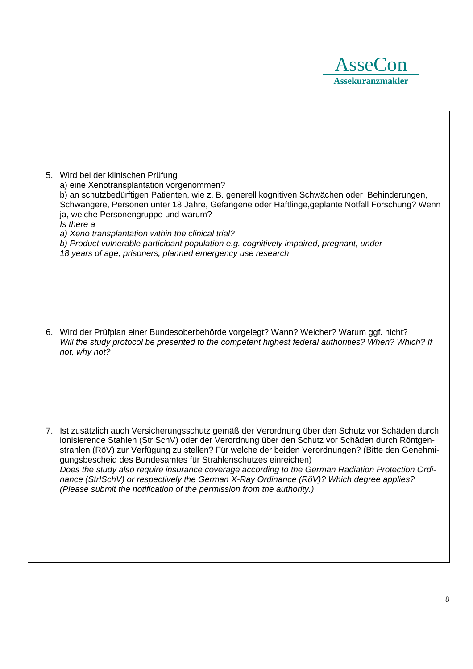

| 5. Wird bei der klinischen Prüfung<br>a) eine Xenotransplantation vorgenommen?<br>b) an schutzbedürftigen Patienten, wie z. B. generell kognitiven Schwächen oder Behinderungen,<br>Schwangere, Personen unter 18 Jahre, Gefangene oder Häftlinge, geplante Notfall Forschung? Wenn<br>ja, welche Personengruppe und warum?<br>Is there a<br>a) Xeno transplantation within the clinical trial?<br>b) Product vulnerable participant population e.g. cognitively impaired, pregnant, under<br>18 years of age, prisoners, planned emergency use research                                                                                             |
|------------------------------------------------------------------------------------------------------------------------------------------------------------------------------------------------------------------------------------------------------------------------------------------------------------------------------------------------------------------------------------------------------------------------------------------------------------------------------------------------------------------------------------------------------------------------------------------------------------------------------------------------------|
| 6. Wird der Prüfplan einer Bundesoberbehörde vorgelegt? Wann? Welcher? Warum ggf. nicht?<br>Will the study protocol be presented to the competent highest federal authorities? When? Which? If<br>not, why not?                                                                                                                                                                                                                                                                                                                                                                                                                                      |
| 7. Ist zusätzlich auch Versicherungsschutz gemäß der Verordnung über den Schutz vor Schäden durch<br>ionisierende Stahlen (StrISchV) oder der Verordnung über den Schutz vor Schäden durch Röntgen-<br>strahlen (RöV) zur Verfügung zu stellen? Für welche der beiden Verordnungen? (Bitte den Genehmi-<br>gungsbescheid des Bundesamtes für Strahlenschutzes einreichen)<br>Does the study also require insurance coverage according to the German Radiation Protection Ordi-<br>nance (StrlSchV) or respectively the German X-Ray Ordinance (RöV)? Which degree applies?<br>(Please submit the notification of the permission from the authority.) |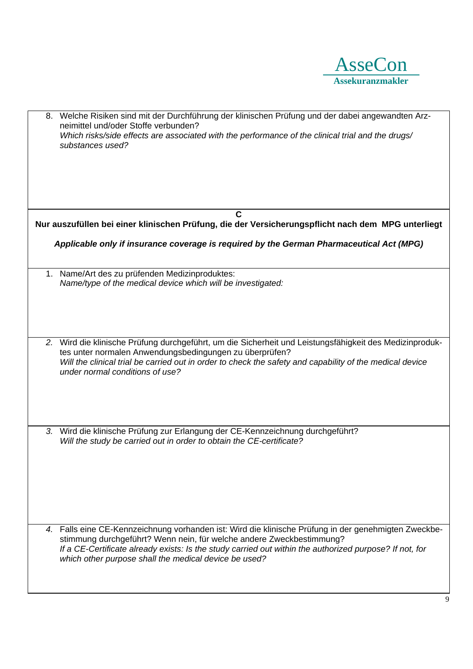

| 8. Welche Risiken sind mit der Durchführung der klinischen Prüfung und der dabei angewandten Arz-<br>neimittel und/oder Stoffe verbunden?<br>Which risks/side effects are associated with the performance of the clinical trial and the drugs/<br>substances used?                                                                               |
|--------------------------------------------------------------------------------------------------------------------------------------------------------------------------------------------------------------------------------------------------------------------------------------------------------------------------------------------------|
| C                                                                                                                                                                                                                                                                                                                                                |
| Nur auszufüllen bei einer klinischen Prüfung, die der Versicherungspflicht nach dem MPG unterliegt                                                                                                                                                                                                                                               |
| Applicable only if insurance coverage is required by the German Pharmaceutical Act (MPG)                                                                                                                                                                                                                                                         |
| Name/Art des zu prüfenden Medizinproduktes:<br>1.                                                                                                                                                                                                                                                                                                |
| Name/type of the medical device which will be investigated:                                                                                                                                                                                                                                                                                      |
|                                                                                                                                                                                                                                                                                                                                                  |
| 2. Wird die klinische Prüfung durchgeführt, um die Sicherheit und Leistungsfähigkeit des Medizinproduk-                                                                                                                                                                                                                                          |
| tes unter normalen Anwendungsbedingungen zu überprüfen?<br>Will the clinical trial be carried out in order to check the safety and capability of the medical device<br>under normal conditions of use?                                                                                                                                           |
| 3. Wird die klinische Prüfung zur Erlangung der CE-Kennzeichnung durchgeführt?                                                                                                                                                                                                                                                                   |
| Will the study be carried out in order to obtain the CE-certificate?                                                                                                                                                                                                                                                                             |
| 4. Falls eine CE-Kennzeichnung vorhanden ist: Wird die klinische Prüfung in der genehmigten Zweckbe-<br>stimmung durchgeführt? Wenn nein, für welche andere Zweckbestimmung?<br>If a CE-Certificate already exists: Is the study carried out within the authorized purpose? If not, for<br>which other purpose shall the medical device be used? |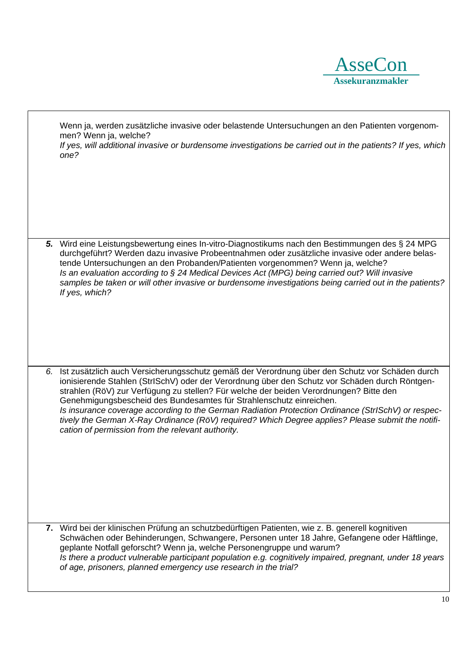

Wenn ja, werden zusätzliche invasive oder belastende Untersuchungen an den Patienten vorgenommen? Wenn ja, welche?

*If yes, will additional invasive or burdensome investigations be carried out in the patients? If yes, which one?* 

*5.* Wird eine Leistungsbewertung eines In-vitro-Diagnostikums nach den Bestimmungen des § 24 MPG durchgeführt? Werden dazu invasive Probeentnahmen oder zusätzliche invasive oder andere belastende Untersuchungen an den Probanden/Patienten vorgenommen? Wenn ja, welche? *Is an evaluation according to § 24 Medical Devices Act (MPG) being carried out? Will invasive samples be taken or will other invasive or burdensome investigations being carried out in the patients? If yes, which?*

*6.* Ist zusätzlich auch Versicherungsschutz gemäß der Verordnung über den Schutz vor Schäden durch ionisierende Stahlen (StrISchV) oder der Verordnung über den Schutz vor Schäden durch Röntgenstrahlen (RöV) zur Verfügung zu stellen? Für welche der beiden Verordnungen? Bitte den Genehmigungsbescheid des Bundesamtes für Strahlenschutz einreichen. *Is insurance coverage according to the German Radiation Protection Ordinance (StrISchV) or respectively the German X-Ray Ordinance (RöV) required? Which Degree applies? Please submit the notification of permission from the relevant authority.* 

**7.** Wird bei der klinischen Prüfung an schutzbedürftigen Patienten, wie z. B. generell kognitiven Schwächen oder Behinderungen, Schwangere, Personen unter 18 Jahre, Gefangene oder Häftlinge, geplante Notfall geforscht? Wenn ja, welche Personengruppe und warum? *Is there a product vulnerable participant population e.g. cognitively impaired, pregnant, under 18 years of age, prisoners, planned emergency use research in the trial?*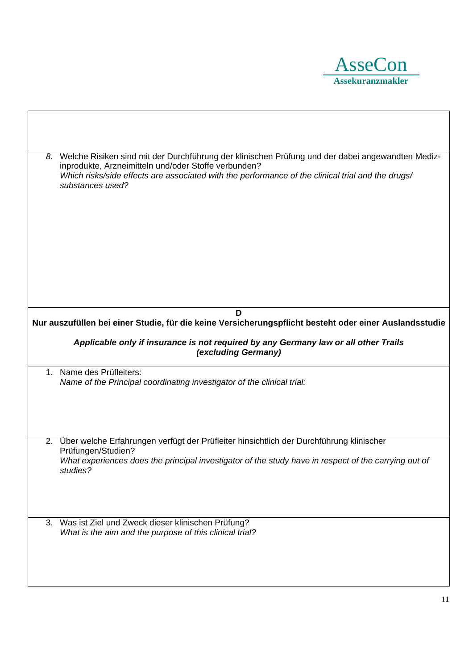

| 8. | Welche Risiken sind mit der Durchführung der klinischen Prüfung und der dabei angewandten Mediz-<br>inprodukte, Arzneimitteln und/oder Stoffe verbunden?<br>Which risks/side effects are associated with the performance of the clinical trial and the drugs/<br>substances used? |
|----|-----------------------------------------------------------------------------------------------------------------------------------------------------------------------------------------------------------------------------------------------------------------------------------|
|    | D                                                                                                                                                                                                                                                                                 |
|    | Nur auszufüllen bei einer Studie, für die keine Versicherungspflicht besteht oder einer Auslandsstudie                                                                                                                                                                            |
|    | Applicable only if insurance is not required by any Germany law or all other Trails<br>(excluding Germany)                                                                                                                                                                        |
|    | 1. Name des Prüfleiters:<br>Name of the Principal coordinating investigator of the clinical trial:                                                                                                                                                                                |
| 2. | Über welche Erfahrungen verfügt der Prüfleiter hinsichtlich der Durchführung klinischer                                                                                                                                                                                           |
|    | Prüfungen/Studien?<br>What experiences does the principal investigator of the study have in respect of the carrying out of<br>studies?                                                                                                                                            |
| 3. | Was ist Ziel und Zweck dieser klinischen Prüfung?<br>What is the aim and the purpose of this clinical trial?                                                                                                                                                                      |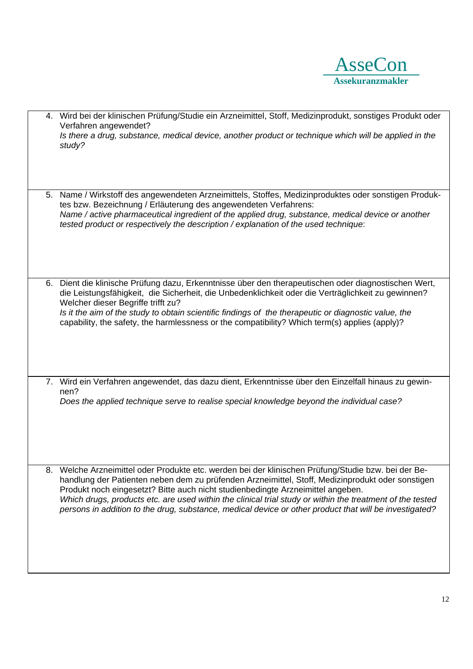

|    | 4. Wird bei der klinischen Prüfung/Studie ein Arzneimittel, Stoff, Medizinprodukt, sonstiges Produkt oder<br>Verfahren angewendet?<br>Is there a drug, substance, medical device, another product or technique which will be applied in the<br>study?                                                                                                                                                                                                                                                          |
|----|----------------------------------------------------------------------------------------------------------------------------------------------------------------------------------------------------------------------------------------------------------------------------------------------------------------------------------------------------------------------------------------------------------------------------------------------------------------------------------------------------------------|
|    | 5. Name / Wirkstoff des angewendeten Arzneimittels, Stoffes, Medizinproduktes oder sonstigen Produk-<br>tes bzw. Bezeichnung / Erläuterung des angewendeten Verfahrens:<br>Name / active pharmaceutical ingredient of the applied drug, substance, medical device or another<br>tested product or respectively the description / explanation of the used technique:                                                                                                                                            |
|    | 6. Dient die klinische Prüfung dazu, Erkenntnisse über den therapeutischen oder diagnostischen Wert,<br>die Leistungsfähigkeit, die Sicherheit, die Unbedenklichkeit oder die Verträglichkeit zu gewinnen?<br>Welcher dieser Begriffe trifft zu?<br>Is it the aim of the study to obtain scientific findings of the therapeutic or diagnostic value, the<br>capability, the safety, the harmlessness or the compatibility? Which term(s) applies (apply)?                                                      |
|    | 7. Wird ein Verfahren angewendet, das dazu dient, Erkenntnisse über den Einzelfall hinaus zu gewin-<br>nen?<br>Does the applied technique serve to realise special knowledge beyond the individual case?                                                                                                                                                                                                                                                                                                       |
| 8. | Welche Arzneimittel oder Produkte etc. werden bei der klinischen Prüfung/Studie bzw. bei der Be-<br>handlung der Patienten neben dem zu prüfenden Arzneimittel, Stoff, Medizinprodukt oder sonstigen<br>Produkt noch eingesetzt? Bitte auch nicht studienbedingte Arzneimittel angeben.<br>Which drugs, products etc. are used within the clinical trial study or within the treatment of the tested<br>persons in addition to the drug, substance, medical device or other product that will be investigated? |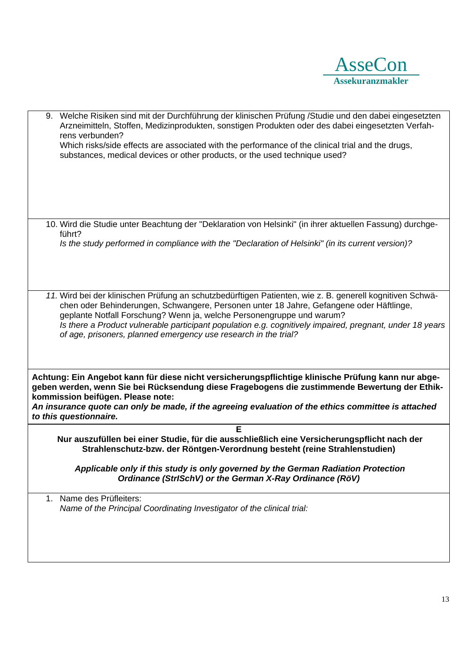

9. Welche Risiken sind mit der Durchführung der klinischen Prüfung /Studie und den dabei eingesetzten Arzneimitteln, Stoffen, Medizinprodukten, sonstigen Produkten oder des dabei eingesetzten Verfahrens verbunden? Which risks/side effects are associated with the performance of the clinical trial and the drugs, substances, medical devices or other products, or the used technique used? 10. Wird die Studie unter Beachtung der "Deklaration von Helsinki" (in ihrer aktuellen Fassung) durchgeführt? *Is the study performed in compliance with the "Declaration of Helsinki" (in its current version)? 11.* Wird bei der klinischen Prüfung an schutzbedürftigen Patienten, wie z. B. generell kognitiven Schwächen oder Behinderungen, Schwangere, Personen unter 18 Jahre, Gefangene oder Häftlinge, geplante Notfall Forschung? Wenn ja, welche Personengruppe und warum? *Is there a Product vulnerable participant population e.g. cognitively impaired, pregnant, under 18 years of age, prisoners, planned emergency use research in the trial?*  **Achtung: Ein Angebot kann für diese nicht versicherungspflichtige klinische Prüfung kann nur abgegeben werden, wenn Sie bei Rücksendung diese Fragebogens die zustimmende Bewertung der Ethikkommission beifügen. Please note:**  *An insurance quote can only be made, if the agreeing evaluation of the ethics committee is attached to this questionnaire.* **E Nur auszufüllen bei einer Studie, für die ausschließlich eine Versicherungspflicht nach der Strahlenschutz-bzw. der Röntgen-Verordnung besteht (reine Strahlenstudien)**  *Applicable only if this study is only governed by the German Radiation Protection Ordinance (StrISchV) or the German X-Ray Ordinance (RöV)*  1. Name des Prüfleiters: *Name of the Principal Coordinating Investigator of the clinical trial:*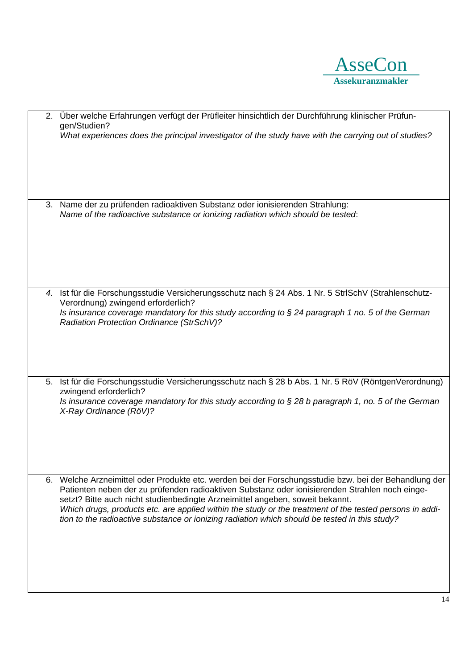

|    | 2. Über welche Erfahrungen verfügt der Prüfleiter hinsichtlich der Durchführung klinischer Prüfun-<br>gen/Studien?                                                                                                                                                                                                                                                                                                                                                                                   |
|----|------------------------------------------------------------------------------------------------------------------------------------------------------------------------------------------------------------------------------------------------------------------------------------------------------------------------------------------------------------------------------------------------------------------------------------------------------------------------------------------------------|
|    | What experiences does the principal investigator of the study have with the carrying out of studies?                                                                                                                                                                                                                                                                                                                                                                                                 |
|    |                                                                                                                                                                                                                                                                                                                                                                                                                                                                                                      |
| 3. | Name der zu prüfenden radioaktiven Substanz oder ionisierenden Strahlung:<br>Name of the radioactive substance or ionizing radiation which should be tested:                                                                                                                                                                                                                                                                                                                                         |
|    |                                                                                                                                                                                                                                                                                                                                                                                                                                                                                                      |
|    | 4. Ist für die Forschungsstudie Versicherungsschutz nach § 24 Abs. 1 Nr. 5 StrlSchV (Strahlenschutz-<br>Verordnung) zwingend erforderlich?<br>Is insurance coverage mandatory for this study according to $\S 24$ paragraph 1 no. 5 of the German<br>Radiation Protection Ordinance (StrSchV)?                                                                                                                                                                                                       |
|    |                                                                                                                                                                                                                                                                                                                                                                                                                                                                                                      |
| 5. | Ist für die Forschungsstudie Versicherungsschutz nach § 28 b Abs. 1 Nr. 5 RöV (RöntgenVerordnung)<br>zwingend erforderlich?<br>Is insurance coverage mandatory for this study according to $\S 28$ b paragraph 1, no. 5 of the German                                                                                                                                                                                                                                                                |
|    | X-Ray Ordinance (RöV)?                                                                                                                                                                                                                                                                                                                                                                                                                                                                               |
|    | 6. Welche Arzneimittel oder Produkte etc. werden bei der Forschungsstudie bzw. bei der Behandlung der<br>Patienten neben der zu prüfenden radioaktiven Substanz oder ionisierenden Strahlen noch einge-<br>setzt? Bitte auch nicht studienbedingte Arzneimittel angeben, soweit bekannt.<br>Which drugs, products etc. are applied within the study or the treatment of the tested persons in addi-<br>tion to the radioactive substance or ionizing radiation which should be tested in this study? |
|    |                                                                                                                                                                                                                                                                                                                                                                                                                                                                                                      |